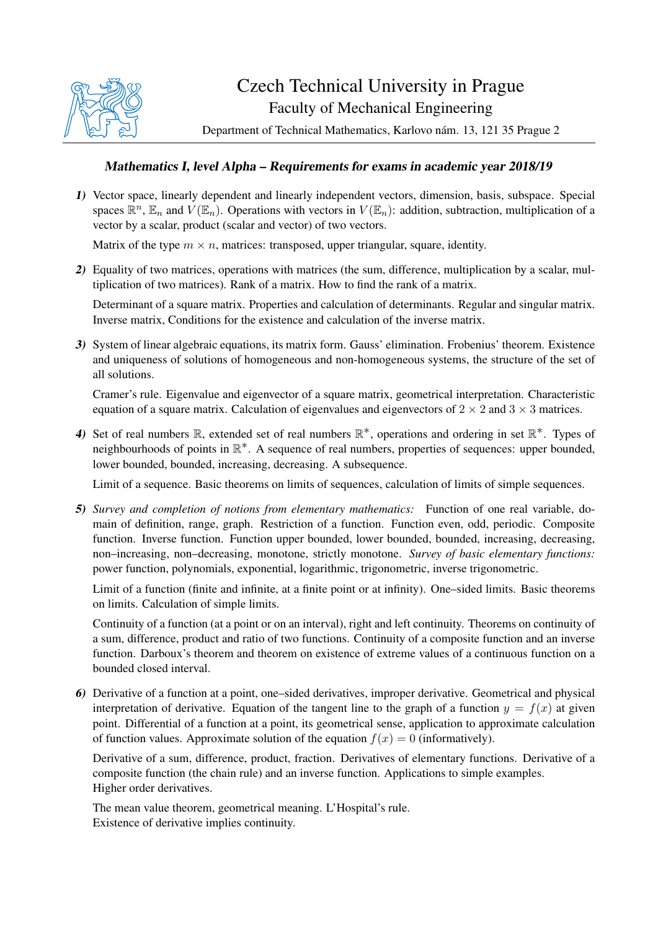

## Czech Technical University in Prague Faculty of Mechanical Engineering

Department of Technical Mathematics, Karlovo nám. 13, 121 35 Prague 2

## Mathematics I, level Alpha – Requirements for exams in academic year 2018/19

1) Vector space, linearly dependent and linearly independent vectors, dimension, basis, subspace. Special spaces  $\mathbb{R}^n$ ,  $\mathbb{E}_n$  and  $V(\mathbb{E}_n)$ . Operations with vectors in  $V(\mathbb{E}_n)$ : addition, subtraction, multiplication of a vector by a scalar, product (scalar and vector) of two vectors.

Matrix of the type  $m \times n$ , matrices: transposed, upper triangular, square, identity.

2) Equality of two matrices, operations with matrices (the sum, difference, multiplication by a scalar, multiplication of two matrices). Rank of a matrix. How to find the rank of a matrix.

Determinant of a square matrix. Properties and calculation of determinants. Regular and singular matrix. Inverse matrix, Conditions for the existence and calculation of the inverse matrix.

3) System of linear algebraic equations, its matrix form. Gauss' elimination. Frobenius' theorem. Existence and uniqueness of solutions of homogeneous and non-homogeneous systems, the structure of the set of all solutions.

Cramer's rule. Eigenvalue and eigenvector of a square matrix, geometrical interpretation. Characteristic equation of a square matrix. Calculation of eigenvalues and eigenvectors of  $2 \times 2$  and  $3 \times 3$  matrices.

4) Set of real numbers  $\mathbb{R}$ , extended set of real numbers  $\mathbb{R}^*$ , operations and ordering in set  $\mathbb{R}^*$ . Types of neighbourhoods of points in ℝ<sup>\*</sup>. A sequence of real numbers, properties of sequences: upper bounded, lower bounded, bounded, increasing, decreasing. A subsequence.

Limit of a sequence. Basic theorems on limits of sequences, calculation of limits of simple sequences.

5) *Survey and completion of notions from elementary mathematics:* Function of one real variable, domain of definition, range, graph. Restriction of a function. Function even, odd, periodic. Composite function. Inverse function. Function upper bounded, lower bounded, bounded, increasing, decreasing, non–increasing, non–decreasing, monotone, strictly monotone. *Survey of basic elementary functions:* power function, polynomials, exponential, logarithmic, trigonometric, inverse trigonometric.

Limit of a function (finite and infinite, at a finite point or at infinity). One–sided limits. Basic theorems on limits. Calculation of simple limits.

Continuity of a function (at a point or on an interval), right and left continuity. Theorems on continuity of a sum, difference, product and ratio of two functions. Continuity of a composite function and an inverse function. Darboux's theorem and theorem on existence of extreme values of a continuous function on a bounded closed interval.

6) Derivative of a function at a point, one–sided derivatives, improper derivative. Geometrical and physical interpretation of derivative. Equation of the tangent line to the graph of a function  $y = f(x)$  at given point. Differential of a function at a point, its geometrical sense, application to approximate calculation of function values. Approximate solution of the equation  $f(x) = 0$  (informatively).

Derivative of a sum, difference, product, fraction. Derivatives of elementary functions. Derivative of a composite function (the chain rule) and an inverse function. Applications to simple examples. Higher order derivatives.

The mean value theorem, geometrical meaning. L'Hospital's rule. Existence of derivative implies continuity.